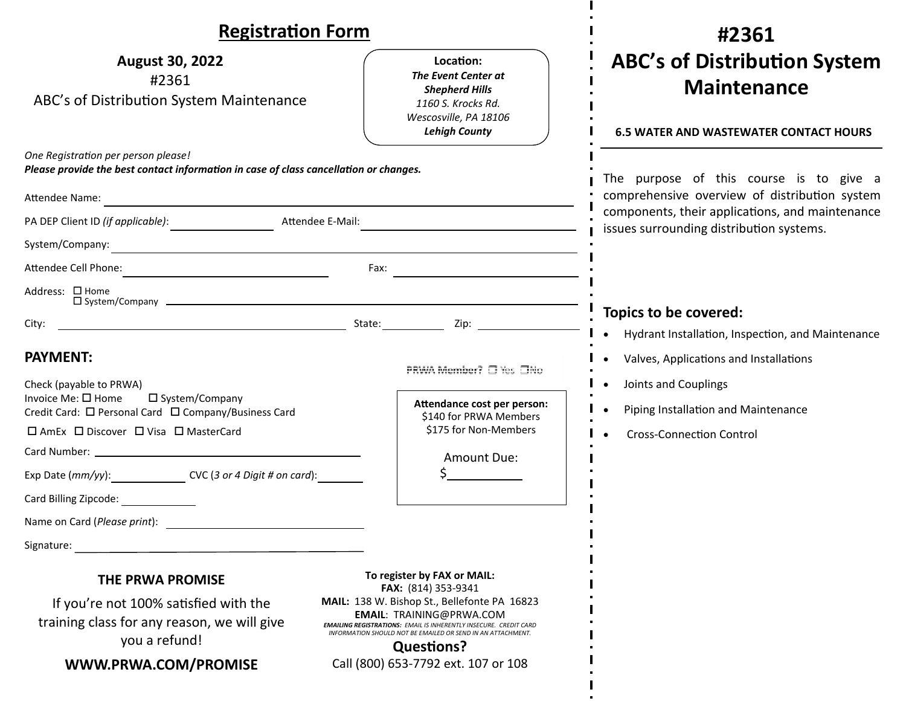| <b>Registration Form</b>                                                                                                                                                                                                                         |                                                                                                                                                                                                                                                                                                                                              | #2361                                                                                                                                                                                   |
|--------------------------------------------------------------------------------------------------------------------------------------------------------------------------------------------------------------------------------------------------|----------------------------------------------------------------------------------------------------------------------------------------------------------------------------------------------------------------------------------------------------------------------------------------------------------------------------------------------|-----------------------------------------------------------------------------------------------------------------------------------------------------------------------------------------|
| <b>August 30, 2022</b><br>#2361<br>ABC's of Distribution System Maintenance                                                                                                                                                                      | Location:<br>The Event Center at<br><b>Shepherd Hills</b><br>1160 S. Krocks Rd.<br>Wescosville, PA 18106<br><b>Lehigh County</b>                                                                                                                                                                                                             | <b>ABC's of Distribution System</b><br><b>Maintenance</b><br><b>6.5 WATER AND WASTEWATER CONTACT HOURS</b>                                                                              |
| One Registration per person please!<br>Please provide the best contact information in case of class cancellation or changes.<br>Attendee Name:<br><u> 1980 - Johann Stein, mars an deus Amerikaansk kommunister (* 1950)</u><br>Attendee E-Mail: |                                                                                                                                                                                                                                                                                                                                              | The purpose of this course is to give a<br>comprehensive overview of distribution system<br>components, their applications, and maintenance<br>issues surrounding distribution systems. |
| System/Company:                                                                                                                                                                                                                                  | <u> 1989 - Johann Barbara, martxa alemaniar argumento este alemaniar alemaniar alemaniar alemaniar alemaniar al</u>                                                                                                                                                                                                                          |                                                                                                                                                                                         |
| Address: □ Home<br>$\square$ System/Company $\square$                                                                                                                                                                                            | $\begin{array}{c}\n\text{Fax:}\n\end{array}$                                                                                                                                                                                                                                                                                                 | Topics to be covered:                                                                                                                                                                   |
| City:<br><b>PAYMENT:</b><br>Check (payable to PRWA)<br>Invoice Me: $\square$ Home<br>□ System/Company<br>Credit Card: □ Personal Card □ Company/Business Card                                                                                    | PRWA Member? □ Yes □No<br>Attendance cost per person:<br>\$140 for PRWA Members                                                                                                                                                                                                                                                              | Hydrant Installation, Inspection, and Maintenance<br>Valves, Applications and Installations<br>Joints and Couplings<br>Piping Installation and Maintenance                              |
| □ AmEx □ Discover □ Visa □ MasterCard<br>Exp Date (mm/yy): CVC (3 or 4 Digit # on card):<br>Card Billing Zipcode:                                                                                                                                | \$175 for Non-Members<br>Amount Due:                                                                                                                                                                                                                                                                                                         | <b>Cross-Connection Control</b>                                                                                                                                                         |
| Name on Card (Please print):<br>Signature:                                                                                                                                                                                                       |                                                                                                                                                                                                                                                                                                                                              |                                                                                                                                                                                         |
| <b>THE PRWA PROMISE</b><br>If you're not 100% satisfied with the<br>training class for any reason, we will give<br>you a refund!<br>WWW.PRWA.COM/PROMISE                                                                                         | To register by FAX or MAIL:<br>FAX: (814) 353-9341<br>MAIL: 138 W. Bishop St., Bellefonte PA 16823<br><b>EMAIL: TRAINING@PRWA.COM</b><br><b>EMAILING REGISTRATIONS: EMAIL IS INHERENTLY INSECURE. CREDIT CARD</b><br>INFORMATION SHOULD NOT BE EMAILED OR SEND IN AN ATTACHMENT.<br><b>Questions?</b><br>Call (800) 653-7792 ext. 107 or 108 |                                                                                                                                                                                         |